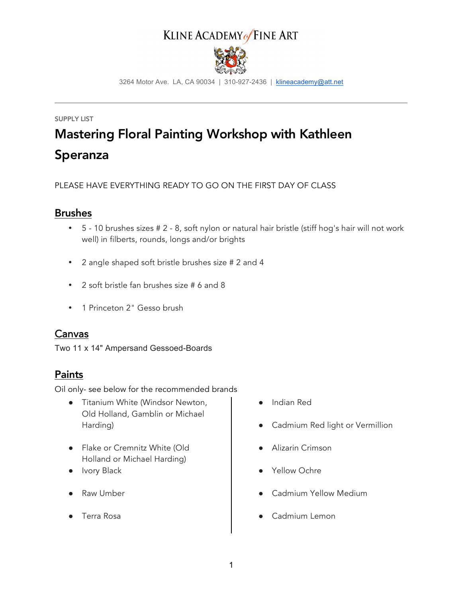# KLINE ACADEMY of FINE ART



3264 Motor Ave. LA, CA 90034 | 310-927-2436 | klineacademy@att.net

# SUPPLY LIST Mastering Floral Painting Workshop with Kathleen Speranza

PLEASE HAVE EVERYTHING READY TO GO ON THE FIRST DAY OF CLASS

#### **Brushes**

- 5 10 brushes sizes # 2 8, soft nylon or natural hair bristle (stiff hog's hair will not work well) in filberts, rounds, longs and/or brights
- 2 angle shaped soft bristle brushes size # 2 and 4
- 2 soft bristle fan brushes size # 6 and 8
- 1 Princeton 2" Gesso brush

#### Canvas

Two 11 x 14" Ampersand Gessoed-Boards

#### Paints

Oil only- see below for the recommended brands

- Titanium White (Windsor Newton, Old Holland, Gamblin or Michael Harding)
- Flake or Cremnitz White (Old Holland or Michael Harding)
- Ivory Black
- Raw Umber
- Terra Rosa
- Indian Red
- Cadmium Red light or Vermillion
- Alizarin Crimson
- Yellow Ochre
- Cadmium Yellow Medium
- **Cadmium Lemon**